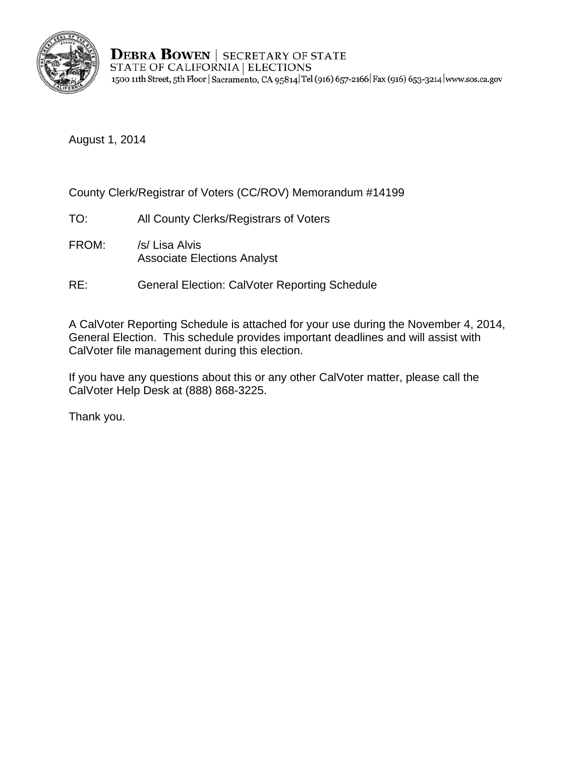

**DEBRA BOWEN | SECRETARY OF STATE** STATE OF CALIFORNIA | ELECTIONS 1500 11th Street, 5th Floor | Sacramento, CA 95814 | Tel (916) 657-2166 | Fax (916) 653-3214 | www.sos.ca.gov

August 1, 2014

County Clerk/Registrar of Voters (CC/ROV) Memorandum #14199

- TO: All County Clerks/Registrars of Voters
- FROM: /s/ Lisa Alvis Associate Elections Analyst
- RE: General Election: CalVoter Reporting Schedule

A CalVoter Reporting Schedule is attached for your use during the November 4, 2014, General Election. This schedule provides important deadlines and will assist with CalVoter file management during this election.

If you have any questions about this or any other CalVoter matter, please call the CalVoter Help Desk at (888) 868-3225.

Thank you.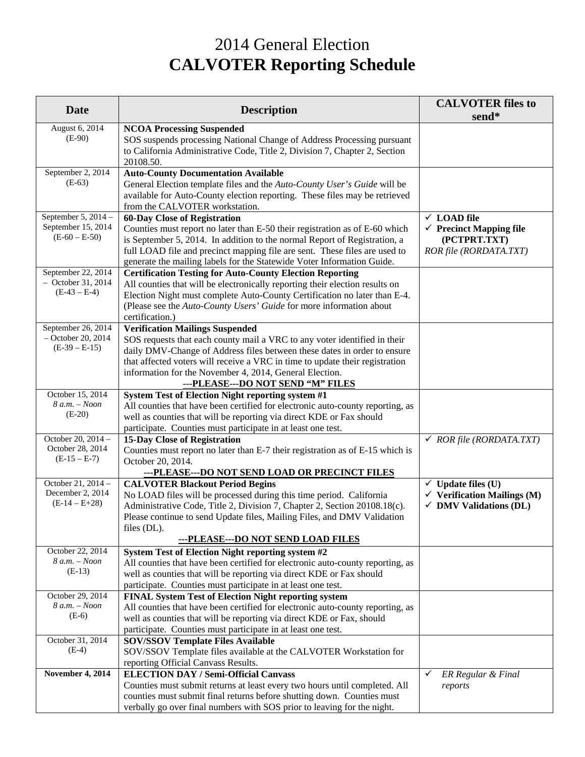## 2014 General Election **CALVOTER Reporting Schedule**

| <b>Date</b>                                                   | <b>Description</b>                                                                                                                                                                                                                                                                                                                                                              | <b>CALVOTER files to</b><br>send*                                                                            |
|---------------------------------------------------------------|---------------------------------------------------------------------------------------------------------------------------------------------------------------------------------------------------------------------------------------------------------------------------------------------------------------------------------------------------------------------------------|--------------------------------------------------------------------------------------------------------------|
| August 6, 2014<br>$(E-90)$                                    | <b>NCOA Processing Suspended</b><br>SOS suspends processing National Change of Address Processing pursuant<br>to California Administrative Code, Title 2, Division 7, Chapter 2, Section<br>20108.50.                                                                                                                                                                           |                                                                                                              |
| September 2, 2014<br>$(E-63)$                                 | <b>Auto-County Documentation Available</b><br>General Election template files and the Auto-County User's Guide will be<br>available for Auto-County election reporting. These files may be retrieved<br>from the CALVOTER workstation.                                                                                                                                          |                                                                                                              |
| September 5, 2014 -<br>September 15, 2014<br>$(E-60 - E-50)$  | <b>60-Day Close of Registration</b><br>Counties must report no later than E-50 their registration as of E-60 which<br>is September 5, 2014. In addition to the normal Report of Registration, a<br>full LOAD file and precinct mapping file are sent. These files are used to<br>generate the mailing labels for the Statewide Voter Information Guide.                         | $\times$ LOAD file<br>$\checkmark$ Precinct Mapping file<br>(PCTPRT.TXT)<br>ROR file (RORDATA.TXT)           |
| September 22, 2014<br>$-$ October 31, 2014<br>$(E-43 - E-4)$  | <b>Certification Testing for Auto-County Election Reporting</b><br>All counties that will be electronically reporting their election results on<br>Election Night must complete Auto-County Certification no later than E-4.<br>(Please see the Auto-County Users' Guide for more information about<br>certification.)                                                          |                                                                                                              |
| September 26, 2014<br>$-$ October 20, 2014<br>$(E-39 - E-15)$ | <b>Verification Mailings Suspended</b><br>SOS requests that each county mail a VRC to any voter identified in their<br>daily DMV-Change of Address files between these dates in order to ensure<br>that affected voters will receive a VRC in time to update their registration<br>information for the November 4, 2014, General Election.<br>---PLEASE---DO NOT SEND "M" FILES |                                                                                                              |
| October 15, 2014<br>$8 a.m. - Noon$<br>$(E-20)$               | System Test of Election Night reporting system #1<br>All counties that have been certified for electronic auto-county reporting, as<br>well as counties that will be reporting via direct KDE or Fax should<br>participate. Counties must participate in at least one test.                                                                                                     |                                                                                                              |
| October 20, 2014 -<br>October 28, 2014<br>$(E-15-E-7)$        | 15-Day Close of Registration<br>Counties must report no later than E-7 their registration as of E-15 which is<br>October 20, 2014.<br>---PLEASE---DO NOT SEND LOAD OR PRECINCT FILES                                                                                                                                                                                            | $\checkmark$ ROR file (RORDATA.TXT)                                                                          |
| October 21, 2014 -<br>December 2, 2014<br>$(E-14-E+28)$       | <b>CALVOTER Blackout Period Begins</b><br>No LOAD files will be processed during this time period. California<br>Administrative Code, Title 2, Division 7, Chapter 2, Section 20108.18(c).<br>Please continue to send Update files, Mailing Files, and DMV Validation<br>files (DL).<br><u>---PLEASE---DO NOT SEND LOAD FILES</u>                                               | $\checkmark$ Update files (U)<br>$\checkmark$ Verification Mailings (M)<br>$\checkmark$ DMV Validations (DL) |
| October 22, 2014<br>$8$ a.m. $-$ Noon<br>$(E-13)$             | System Test of Election Night reporting system #2<br>All counties that have been certified for electronic auto-county reporting, as<br>well as counties that will be reporting via direct KDE or Fax should<br>participate. Counties must participate in at least one test.                                                                                                     |                                                                                                              |
| October 29, 2014<br>$8 a.m. - Noon$<br>$(E-6)$                | FINAL System Test of Election Night reporting system<br>All counties that have been certified for electronic auto-county reporting, as<br>well as counties that will be reporting via direct KDE or Fax, should<br>participate. Counties must participate in at least one test.                                                                                                 |                                                                                                              |
| October 31, 2014<br>$(E-4)$                                   | <b>SOV/SSOV Template Files Available</b><br>SOV/SSOV Template files available at the CALVOTER Workstation for<br>reporting Official Canvass Results.                                                                                                                                                                                                                            |                                                                                                              |
| November 4, 2014                                              | <b>ELECTION DAY / Semi-Official Canvass</b><br>Counties must submit returns at least every two hours until completed. All<br>counties must submit final returns before shutting down. Counties must<br>verbally go over final numbers with SOS prior to leaving for the night.                                                                                                  | ER Regular & Final<br>✓<br>reports                                                                           |